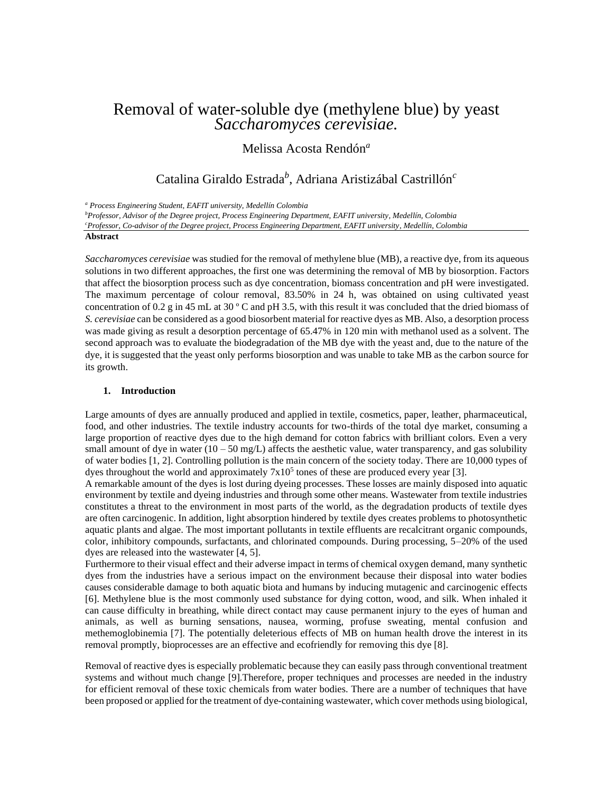# Removal of water-soluble dye (methylene blue) by yeast *Saccharomyces cerevisiae.*

## Melissa Acosta Rendón*<sup>a</sup>*

# Catalina Giraldo Estrada*<sup>b</sup>* , Adriana Aristizábal Castrillón*<sup>c</sup>*

*<sup>a</sup> Process Engineering Student, EAFIT university, Medellín Colombia* 

*<sup>b</sup>Professor, Advisor of the Degree project, Process Engineering Department, EAFIT university, Medellín, Colombia*

*<sup>c</sup>Professor, Co-advisor of the Degree project, Process Engineering Department, EAFIT university, Medellín, Colombia*

### **Abstract**

*Saccharomyces cerevisiae* was studied for the removal of methylene blue (MB), a reactive dye, from its aqueous solutions in two different approaches, the first one was determining the removal of MB by biosorption. Factors that affect the biosorption process such as dye concentration, biomass concentration and pH were investigated. The maximum percentage of colour removal, 83.50% in 24 h, was obtained on using cultivated yeast concentration of 0.2 g in 45 mL at 30 º C and pH 3.5, with this result it was concluded that the dried biomass of *S. cerevisiae* can be considered as a good biosorbent material for reactive dyes as MB. Also, a desorption process was made giving as result a desorption percentage of 65.47% in 120 min with methanol used as a solvent. The second approach was to evaluate the biodegradation of the MB dye with the yeast and, due to the nature of the dye, it is suggested that the yeast only performs biosorption and was unable to take MB as the carbon source for its growth.

#### **1. Introduction**

Large amounts of dyes are annually produced and applied in textile, cosmetics, paper, leather, pharmaceutical, food, and other industries. The textile industry accounts for two-thirds of the total dye market, consuming a large proportion of reactive dyes due to the high demand for cotton fabrics with brilliant colors. Even a very small amount of dye in water  $(10 - 50 \text{ mg/L})$  affects the aesthetic value, water transparency, and gas solubility of water bodies [1, 2]. Controlling pollution is the main concern of the society today. There are 10,000 types of dyes throughout the world and approximately  $7x10<sup>5</sup>$  tones of these are produced every year [3].

A remarkable amount of the dyes is lost during dyeing processes. These losses are mainly disposed into aquatic environment by textile and dyeing industries and through some other means. Wastewater from textile industries constitutes a threat to the environment in most parts of the world, as the degradation products of textile dyes are often carcinogenic. In addition, light absorption hindered by textile dyes creates problems to photosynthetic aquatic plants and algae. The most important pollutants in textile effluents are recalcitrant organic compounds, color, inhibitory compounds, surfactants, and chlorinated compounds. During processing, 5–20% of the used dyes are released into the wastewater [4, 5].

Furthermore to their visual effect and their adverse impact in terms of chemical oxygen demand, many synthetic dyes from the industries have a serious impact on the environment because their disposal into water bodies causes considerable damage to both aquatic biota and humans by inducing mutagenic and carcinogenic effects [6]. Methylene blue is the most commonly used substance for dying cotton, wood, and silk. When inhaled it can cause difficulty in breathing, while direct contact may cause permanent injury to the eyes of human and animals, as well as burning sensations, nausea, worming, profuse sweating, mental confusion and methemoglobinemia [7]. The potentially deleterious effects of MB on human health drove the interest in its removal promptly, bioprocesses are an effective and ecofriendly for removing this dye [8].

Removal of reactive dyes is especially problematic because they can easily pass through conventional treatment systems and without much change [9].Therefore, proper techniques and processes are needed in the industry for efficient removal of these toxic chemicals from water bodies. There are a number of techniques that have been proposed or applied for the treatment of dye-containing wastewater, which cover methods using biological,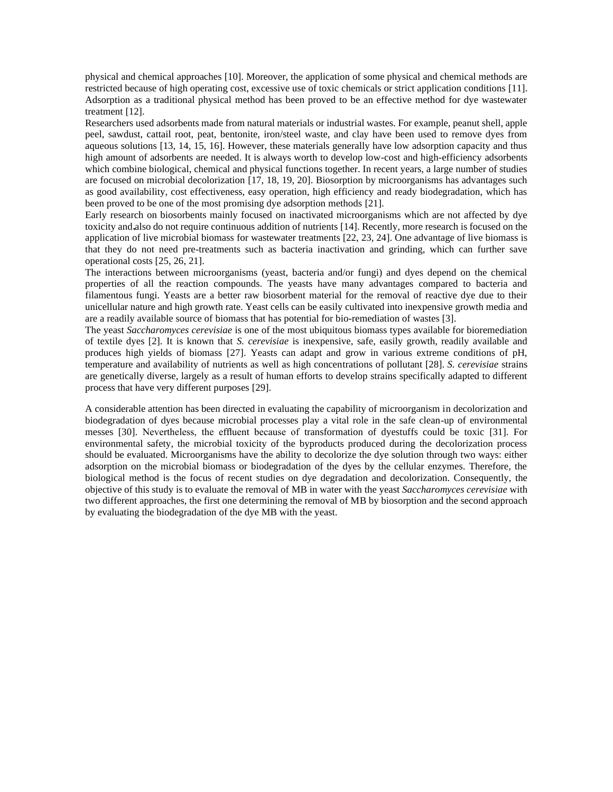physical and chemical approaches [10]. Moreover, the application of some physical and chemical methods are restricted because of high operating cost, excessive use of toxic chemicals or strict application conditions [11]. Adsorption as a traditional physical method has been proved to be an effective method for dye wastewater treatment [12].

Researchers used adsorbents made from natural materials or industrial wastes. For example, peanut shell, apple peel, sawdust, cattail root, peat, bentonite, iron/steel waste, and clay have been used to remove dyes from aqueous solutions [13, 14, 15, 16]. However, these materials generally have low adsorption capacity and thus high amount of adsorbents are needed. It is always worth to develop low-cost and high-efficiency adsorbents which combine biological, chemical and physical functions together. In recent years, a large number of studies are focused on microbial decolorization [17, 18, 19, 20]. Biosorption by microorganisms has advantages such as good availability, cost effectiveness, easy operation, high efficiency and ready biodegradation, which has been proved to be one of the most promising dye adsorption methods [21].

Early research on biosorbents mainly focused on inactivated microorganisms which are not affected by dye toxicity and also do not require continuous addition of nutrients [14]. Recently, more research is focused on the application of live microbial biomass for wastewater treatments [22, 23, 24]. One advantage of live biomass is that they do not need pre-treatments such as bacteria inactivation and grinding, which can further save operational costs [25, 26, 21].

The interactions between microorganisms (yeast, bacteria and/or fungi) and dyes depend on the chemical properties of all the reaction compounds. The yeasts have many advantages compared to bacteria and filamentous fungi. Yeasts are a better raw biosorbent material for the removal of reactive dye due to their unicellular nature and high growth rate. Yeast cells can be easily cultivated into inexpensive growth media and are a readily available source of biomass that has potential for bio-remediation of wastes [3].

The yeast *Saccharomyces cerevisiae* is one of the most ubiquitous biomass types available for bioremediation of textile dyes [2]. It is known that *S. cerevisiae* is inexpensive, safe, easily growth, readily available and produces high yields of biomass [27]. Yeasts can adapt and grow in various extreme conditions of pH, temperature and availability of nutrients as well as high concentrations of pollutant [28]. *S. cerevisiae* strains are genetically diverse, largely as a result of human efforts to develop strains specifically adapted to different process that have very different purposes [29].

A considerable attention has been directed in evaluating the capability of microorganism in decolorization and biodegradation of dyes because microbial processes play a vital role in the safe clean-up of environmental messes [30]. Nevertheless, the effluent because of transformation of dyestuffs could be toxic [31]. For environmental safety, the microbial toxicity of the byproducts produced during the decolorization process should be evaluated. Microorganisms have the ability to decolorize the dye solution through two ways: either adsorption on the microbial biomass or biodegradation of the dyes by the cellular enzymes. Therefore, the biological method is the focus of recent studies on dye degradation and decolorization. Consequently, the objective of this study is to evaluate the removal of MB in water with the yeast *Saccharomyces cerevisiae* with two different approaches, the first one determining the removal of MB by biosorption and the second approach by evaluating the biodegradation of the dye MB with the yeast.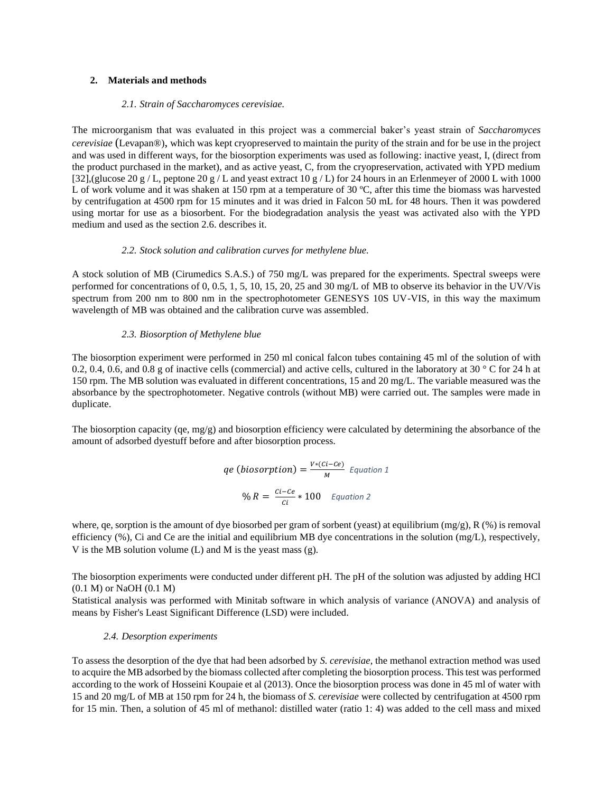### **2. Materials and methods**

#### *2.1. Strain of Saccharomyces cerevisiae.*

The microorganism that was evaluated in this project was a commercial baker's yeast strain of *Saccharomyces cerevisiae* (Levapan®), which was kept cryopreserved to maintain the purity of the strain and for be use in the project and was used in different ways, for the biosorption experiments was used as following: inactive yeast, I, (direct from the product purchased in the market), and as active yeast, C, from the cryopreservation, activated with YPD medium [32],(glucose 20 g / L, peptone 20 g / L and yeast extract 10 g / L) for 24 hours in an Erlenmeyer of 2000 L with 1000 L of work volume and it was shaken at 150 rpm at a temperature of 30 °C, after this time the biomass was harvested by centrifugation at 4500 rpm for 15 minutes and it was dried in Falcon 50 mL for 48 hours. Then it was powdered using mortar for use as a biosorbent. For the biodegradation analysis the yeast was activated also with the YPD medium and used as the section 2.6. describes it.

### *2.2. Stock solution and calibration curves for methylene blue.*

A stock solution of MB (Cirumedics S.A.S.) of 750 mg/L was prepared for the experiments. Spectral sweeps were performed for concentrations of 0, 0.5, 1, 5, 10, 15, 20, 25 and 30 mg/L of MB to observe its behavior in the UV/Vis spectrum from 200 nm to 800 nm in the spectrophotometer GENESYS 10S UV-VIS, in this way the maximum wavelength of MB was obtained and the calibration curve was assembled.

### *2.3. Biosorption of Methylene blue*

The biosorption experiment were performed in 250 ml conical falcon tubes containing 45 ml of the solution of with 0.2, 0.4, 0.6, and 0.8 g of inactive cells (commercial) and active cells, cultured in the laboratory at 30  $\degree$  C for 24 h at 150 rpm. The MB solution was evaluated in different concentrations, 15 and 20 mg/L. The variable measured was the absorbance by the spectrophotometer. Negative controls (without MB) were carried out. The samples were made in duplicate.

The biosorption capacity (qe,  $mg/g$ ) and biosorption efficiency were calculated by determining the absorbance of the amount of adsorbed dyestuff before and after biosorption process.

*qe* (*biosorption*) = 
$$
\frac{V*(Ci - Ce)}{M}
$$
 *Equation 1*  
*%*  $R = \frac{Ci - Ce}{Ci} * 100$  *Equation 2*

where, ge, sorption is the amount of dye biosorbed per gram of sorbent (yeast) at equilibrium (mg/g), R (%) is removal efficiency  $(\%)$ , Ci and Ce are the initial and equilibrium MB dye concentrations in the solution (mg/L), respectively, V is the MB solution volume (L) and M is the yeast mass (g).

The biosorption experiments were conducted under different pH. The pH of the solution was adjusted by adding HCl (0.1 M) or NaOH (0.1 M)

Statistical analysis was performed with Minitab software in which analysis of variance (ANOVA) and analysis of means by Fisher's Least Significant Difference (LSD) were included.

### *2.4. Desorption experiments*

To assess the desorption of the dye that had been adsorbed by *S. cerevisiae*, the methanol extraction method was used to acquire the MB adsorbed by the biomass collected after completing the biosorption process. This test was performed according to the work of Hosseini Koupaie et al (2013). Once the biosorption process was done in 45 ml of water with 15 and 20 mg/L of MB at 150 rpm for 24 h, the biomass of *S. cerevisiae* were collected by centrifugation at 4500 rpm for 15 min. Then, a solution of 45 ml of methanol: distilled water (ratio 1: 4) was added to the cell mass and mixed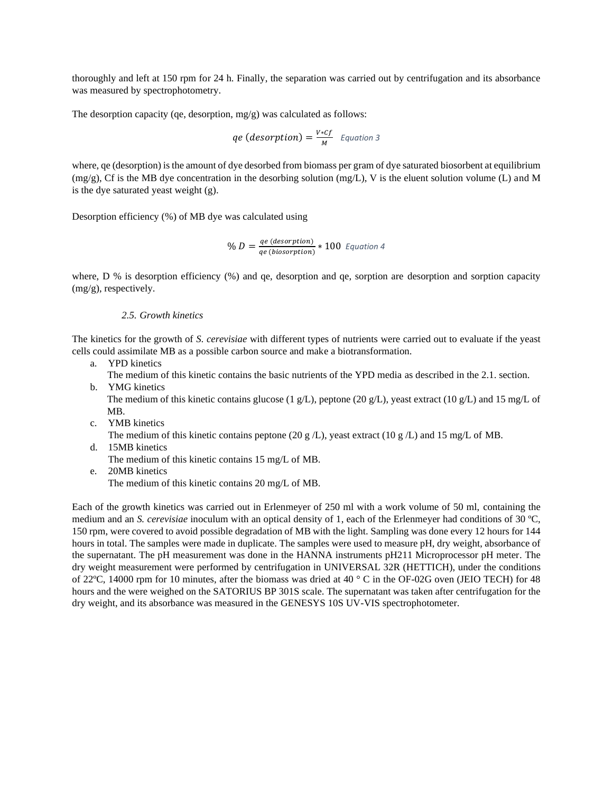thoroughly and left at 150 rpm for 24 h. Finally, the separation was carried out by centrifugation and its absorbance was measured by spectrophotometry.

The desorption capacity (qe, desorption, mg/g) was calculated as follows:

$$
qe (desorption) = \frac{v * cf}{M} \quad Equation 3
$$

where, qe (desorption) is the amount of dye desorbed from biomass per gram of dye saturated biosorbent at equilibrium  $(mg/g)$ , Cf is the MB dye concentration in the desorbing solution  $(mg/L)$ , V is the eluent solution volume (L) and M is the dye saturated yeast weight (g).

Desorption efficiency (%) of MB dye was calculated using

$$
\% D = \frac{qe \ (desorption)}{qe \ (bisorption)} * 100 \ \text{Equation 4}
$$

where, D % is desorption efficiency (%) and qe, desorption and qe, sorption are desorption and sorption capacity (mg/g), respectively.

### *2.5. Growth kinetics*

The kinetics for the growth of *S. cerevisiae* with different types of nutrients were carried out to evaluate if the yeast cells could assimilate MB as a possible carbon source and make a biotransformation.

- a. YPD kinetics
	- The medium of this kinetic contains the basic nutrients of the YPD media as described in the 2.1. section.
- b. YMG kinetics

The medium of this kinetic contains glucose (1 g/L), peptone (20 g/L), yeast extract (10 g/L) and 15 mg/L of MB.

c. YMB kinetics

The medium of this kinetic contains peptone (20 g/L), yeast extract (10 g/L) and 15 mg/L of MB.

- d. 15MB kinetics The medium of this kinetic contains 15 mg/L of MB.
- e. 20MB kinetics The medium of this kinetic contains 20 mg/L of MB.

Each of the growth kinetics was carried out in Erlenmeyer of 250 ml with a work volume of 50 ml, containing the medium and an *S. cerevisiae* inoculum with an optical density of 1, each of the Erlenmeyer had conditions of 30 ºC, 150 rpm, were covered to avoid possible degradation of MB with the light. Sampling was done every 12 hours for 144 hours in total. The samples were made in duplicate. The samples were used to measure pH, dry weight, absorbance of the supernatant. The pH measurement was done in the HANNA instruments pH211 Microprocessor pH meter. The dry weight measurement were performed by centrifugation in UNIVERSAL 32R (HETTICH), under the conditions of 22ºC, 14000 rpm for 10 minutes, after the biomass was dried at 40 ° C in the OF-02G oven (JEIO TECH) for 48 hours and the were weighed on the SATORIUS BP 301S scale. The supernatant was taken after centrifugation for the dry weight, and its absorbance was measured in the GENESYS 10S UV-VIS spectrophotometer.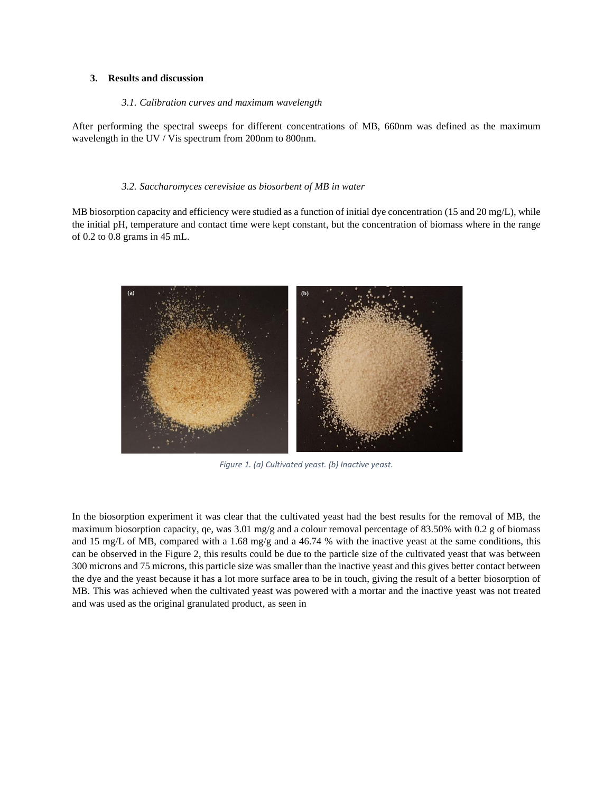#### **3. Results and discussion**

#### *3.1. Calibration curves and maximum wavelength*

After performing the spectral sweeps for different concentrations of MB, 660nm was defined as the maximum wavelength in the UV / Vis spectrum from 200nm to 800nm.

#### *3.2. Saccharomyces cerevisiae as biosorbent of MB in water*

MB biosorption capacity and efficiency were studied as a function of initial dye concentration (15 and 20 mg/L), while the initial pH, temperature and contact time were kept constant, but the concentration of biomass where in the range of 0.2 to 0.8 grams in 45 mL.

<span id="page-4-0"></span>

*Figure 1. (a) Cultivated yeast. (b) Inactive yeast.*

In the biosorption experiment it was clear that the cultivated yeast had the best results for the removal of MB, the maximum biosorption capacity, qe, was 3.01 mg/g and a colour removal percentage of 83.50% with 0.2 g of biomass and 15 mg/L of MB, compared with a 1.68 mg/g and a 46.74 % with the inactive yeast at the same conditions, this can be observed in the [Figure 2,](#page-5-0) this results could be due to the particle size of the cultivated yeast that was between 300 microns and 75 microns, this particle size was smaller than the inactive yeast and this gives better contact between the dye and the yeast because it has a lot more surface area to be in touch, giving the result of a better biosorption of MB. This was achieved when the cultivated yeast was powered with a mortar and the inactive yeast was not treated and was used as the original granulated product, as seen i[n](#page-4-0)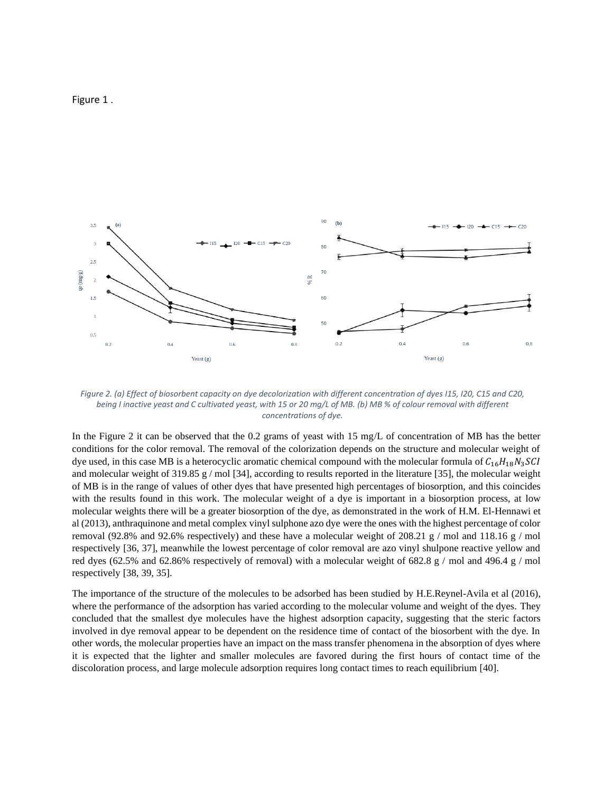[Figure 1](#page-4-0) .



<span id="page-5-0"></span>*Figure 2. (a) Effect of biosorbent capacity on dye decolorization with different concentration of dyes I15, I20, C15 and C20, being I inactive yeast and C cultivated yeast, with 15 or 20 mg/L of MB. (b) MB % of colour removal with different concentrations of dye.*

In the Figure 2 it can be observed that the 0.2 grams of yeast with 15 mg/L of concentration of MB has the better conditions for the color removal. The removal of the colorization depends on the structure and molecular weight of dye used, in this case MB is a heterocyclic aromatic chemical compound with the molecular formula of  $C_{16}H_{18}N_3SU$ and molecular weight of 319.85 g / mol [34], according to results reported in the literature [35], the molecular weight of MB is in the range of values of other dyes that have presented high percentages of biosorption, and this coincides with the results found in this work. The molecular weight of a dye is important in a biosorption process, at low molecular weights there will be a greater biosorption of the dye, as demonstrated in the work of H.M. El-Hennawi et al (2013), anthraquinone and metal complex vinyl sulphone azo dye were the ones with the highest percentage of color removal (92.8% and 92.6% respectively) and these have a molecular weight of 208.21 g / mol and 118.16 g / mol respectively [36, 37], meanwhile the lowest percentage of color removal are azo vinyl shulpone reactive yellow and red dyes (62.5% and 62.86% respectively of removal) with a molecular weight of 682.8 g / mol and 496.4 g / mol respectively [38, 39, 35].

The importance of the structure of the molecules to be adsorbed has been studied by H.E.Reynel-Avila et al (2016), where the performance of the adsorption has varied according to the molecular volume and weight of the dyes. They concluded that the smallest dye molecules have the highest adsorption capacity, suggesting that the steric factors involved in dye removal appear to be dependent on the residence time of contact of the biosorbent with the dye. In other words, the molecular properties have an impact on the mass transfer phenomena in the absorption of dyes where it is expected that the lighter and smaller molecules are favored during the first hours of contact time of the discoloration process, and large molecule adsorption requires long contact times to reach equilibrium [40].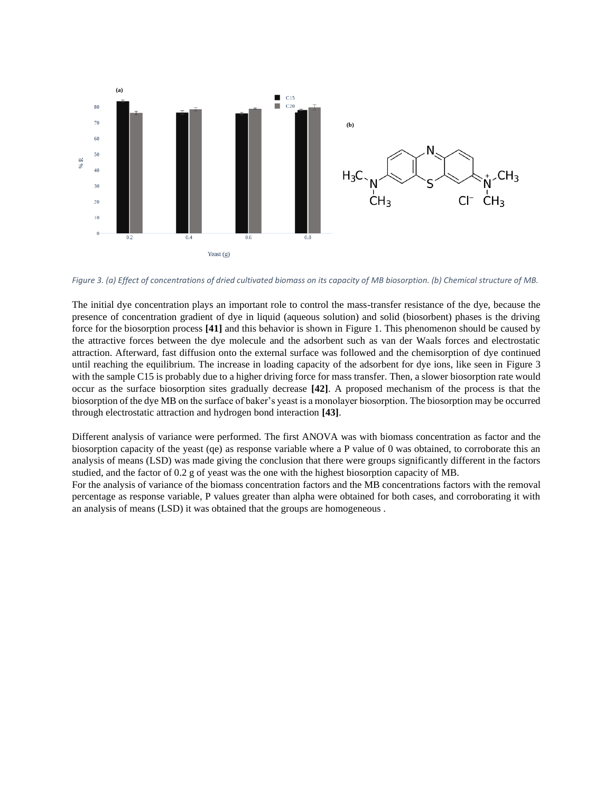

<span id="page-6-0"></span>*Figure 3. (a) Effect of concentrations of dried cultivated biomass on its capacity of MB biosorption. (b) Chemical structure of MB.*

The initial dye concentration plays an important role to control the mass-transfer resistance of the dye, because the presence of concentration gradient of dye in liquid (aqueous solution) and solid (biosorbent) phases is the driving force for the biosorption process **[41]** and this behavior is shown in Figure 1. This phenomenon should be caused by the attractive forces between the dye molecule and the adsorbent such as van der Waals forces and electrostatic attraction. Afterward, fast diffusion onto the external surface was followed and the chemisorption of dye continued until reaching the equilibrium. The increase in loading capacity of the adsorbent for dye ions, like seen in [Figure 3](#page-6-0) with the sample C15 is probably due to a higher driving force for mass transfer. Then, a slower biosorption rate would occur as the surface biosorption sites gradually decrease **[42]**. A proposed mechanism of the process is that the biosorption of the dye MB on the surface of baker's yeast is a monolayer biosorption. The biosorption may be occurred through electrostatic attraction and hydrogen bond interaction **[43]**.

Different analysis of variance were performed. The first ANOVA was with biomass concentration as factor and the biosorption capacity of the yeast (qe) as response variable where a P value of 0 was obtained, to corroborate this an analysis of means (LSD) was made giving the conclusion that there were groups significantly different in the factors studied, and the factor of 0.2 g of yeast was the one with the highest biosorption capacity of MB.

For the analysis of variance of the biomass concentration factors and the MB concentrations factors with the removal percentage as response variable, P values greater than alpha were obtained for both cases, and corroborating it with an analysis of means (LSD) it was obtained that the groups are homogeneous .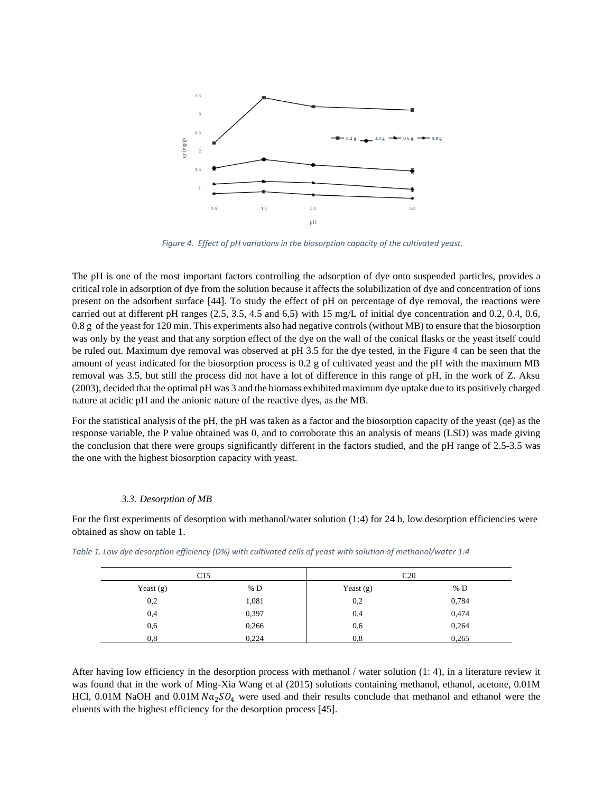

<span id="page-7-0"></span>*Figure 4. Effect of pH variations in the biosorption capacity of the cultivated yeast.*

The pH is one of the most important factors controlling the adsorption of dye onto suspended particles, provides a critical role in adsorption of dye from the solution because it affects the solubilization of dye and concentration of ions present on the adsorbent surface [44]. To study the effect of pH on percentage of dye removal, the reactions were carried out at different pH ranges (2.5, 3.5, 4.5 and 6,5) with 15 mg/L of initial dye concentration and 0.2, 0.4, 0.6, 0.8 g of the yeast for 120 min. This experiments also had negative controls (without MB) to ensure that the biosorption was only by the yeast and that any sorption effect of the dye on the wall of the conical flasks or the yeast itself could be ruled out. Maximum dye removal was observed at pH 3.5 for the dye tested, in the [Figure 4](#page-7-0) can be seen that the amount of yeast indicated for the biosorption process is 0.2 g of cultivated yeast and the pH with the maximum MB removal was 3.5, but still the process did not have a lot of difference in this range of pH, in the work of Z. Aksu (2003), decided that the optimal pH was 3 and the biomass exhibited maximum dye uptake due to its positively charged nature at acidic pH and the anionic nature of the reactive dyes, as the MB.

For the statistical analysis of the pH, the pH was taken as a factor and the biosorption capacity of the yeast (qe) as the response variable, the P value obtained was 0, and to corroborate this an analysis of means (LSD) was made giving the conclusion that there were groups significantly different in the factors studied, and the pH range of 2.5-3.5 was the one with the highest biosorption capacity with yeast.

### *3.3. Desorption of MB*

For the first experiments of desorption with methanol/water solution (1:4) for 24 h, low desorption efficiencies were obtained as show on table 1.

| C15         |       | C <sub>20</sub> |       |
|-------------|-------|-----------------|-------|
| Yeast $(g)$ | % $D$ | Yeast $(g)$     | % D   |
| 0,2         | 1,081 | 0,2             | 0,784 |
| 0,4         | 0,397 | 0,4             | 0,474 |
| 0,6         | 0,266 | 0,6             | 0,264 |
| 0,8         | 0,224 | 0,8             | 0,265 |

*Table 1. Low dye desorption efficiency (D%) with cultivated cells of yeast with solution of methanol/water 1:4*

After having low efficiency in the desorption process with methanol / water solution (1: 4), in a literature review it was found that in the work of Ming-Xia Wang et al (2015) solutions containing methanol, ethanol, acetone, 0.01M HCl, 0.01M NaOH and 0.01M  $Na_2SO_4$  were used and their results conclude that methanol and ethanol were the eluents with the highest efficiency for the desorption process [45].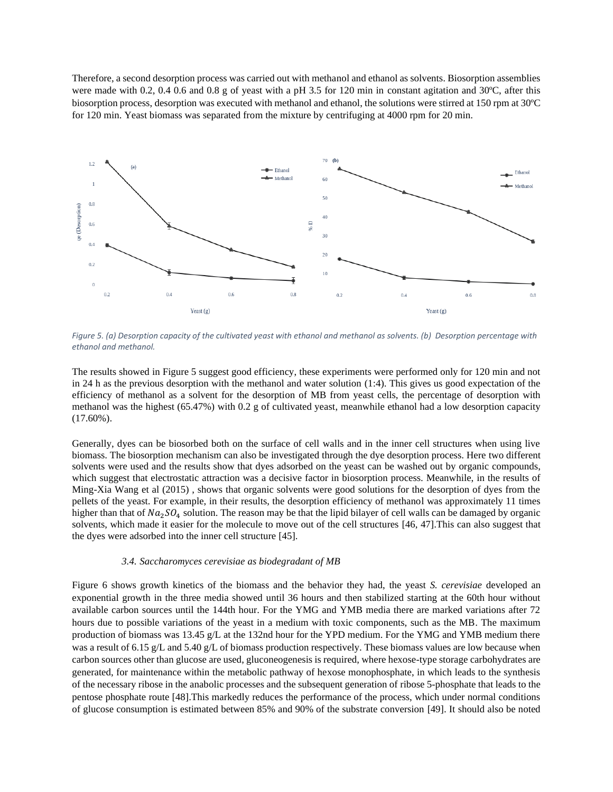Therefore, a second desorption process was carried out with methanol and ethanol as solvents. Biosorption assemblies were made with 0.2, 0.4 0.6 and 0.8 g of yeast with a pH 3.5 for 120 min in constant agitation and 30°C, after this biosorption process, desorption was executed with methanol and ethanol, the solutions were stirred at 150 rpm at 30ºC for 120 min. Yeast biomass was separated from the mixture by centrifuging at 4000 rpm for 20 min.



<span id="page-8-0"></span>*Figure 5. (a) Desorption capacity of the cultivated yeast with ethanol and methanol as solvents. (b) Desorption percentage with ethanol and methanol.*

The results showed in [Figure 5](#page-8-0) suggest good efficiency, these experiments were performed only for 120 min and not in 24 h as the previous desorption with the methanol and water solution (1:4). This gives us good expectation of the efficiency of methanol as a solvent for the desorption of MB from yeast cells, the percentage of desorption with methanol was the highest (65.47%) with 0.2 g of cultivated yeast, meanwhile ethanol had a low desorption capacity (17.60%).

Generally, dyes can be biosorbed both on the surface of cell walls and in the inner cell structures when using live biomass. The biosorption mechanism can also be investigated through the dye desorption process. Here two different solvents were used and the results show that dyes adsorbed on the yeast can be washed out by organic compounds, which suggest that electrostatic attraction was a decisive factor in biosorption process. Meanwhile, in the results of Ming-Xia Wang et al (2015) , shows that organic solvents were good solutions for the desorption of dyes from the pellets of the yeast. For example, in their results, the desorption efficiency of methanol was approximately 11 times higher than that of  $Na_2SO_4$  solution. The reason may be that the lipid bilayer of cell walls can be damaged by organic solvents, which made it easier for the molecule to move out of the cell structures [46, 47].This can also suggest that the dyes were adsorbed into the inner cell structure [45].

#### *3.4. Saccharomyces cerevisiae as biodegradant of MB*

[Figure 6](#page-9-0) shows growth kinetics of the biomass and the behavior they had, the yeast *S. cerevisiae* developed an exponential growth in the three media showed until 36 hours and then stabilized starting at the 60th hour without available carbon sources until the 144th hour. For the YMG and YMB media there are marked variations after 72 hours due to possible variations of the yeast in a medium with toxic components, such as the MB. The maximum production of biomass was 13.45 g/L at the 132nd hour for the YPD medium. For the YMG and YMB medium there was a result of 6.15 g/L and 5.40 g/L of biomass production respectively. These biomass values are low because when carbon sources other than glucose are used, gluconeogenesis is required, where hexose-type storage carbohydrates are generated, for maintenance within the metabolic pathway of hexose monophosphate, in which leads to the synthesis of the necessary ribose in the anabolic processes and the subsequent generation of ribose 5-phosphate that leads to the pentose phosphate route [48].This markedly reduces the performance of the process, which under normal conditions of glucose consumption is estimated between 85% and 90% of the substrate conversion [49]. It should also be noted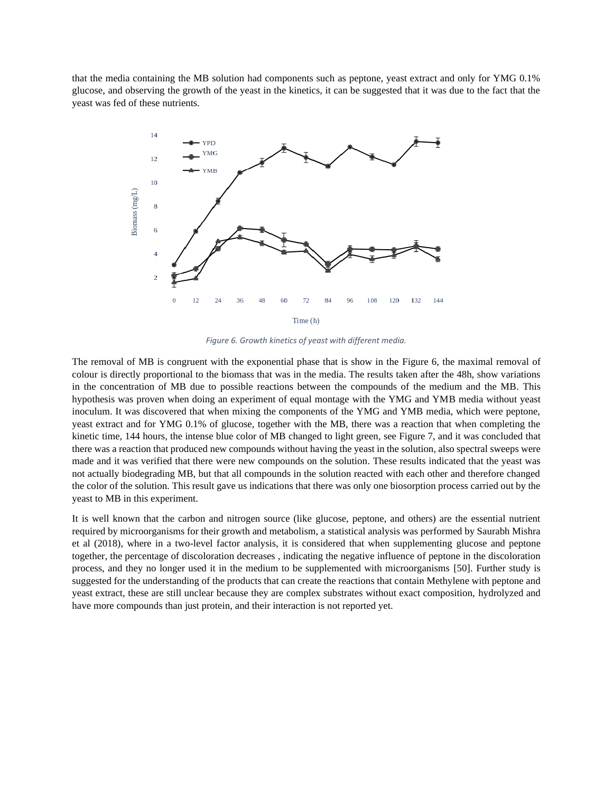that the media containing the MB solution had components such as peptone, yeast extract and only for YMG 0.1% glucose, and observing the growth of the yeast in the kinetics, it can be suggested that it was due to the fact that the yeast was fed of these nutrients.



*Figure 6. Growth kinetics of yeast with different media.*

<span id="page-9-0"></span>The removal of MB is congruent with the exponential phase that is show in the [Figure 6,](#page-9-0) the maximal removal of colour is directly proportional to the biomass that was in the media. The results taken after the 48h, show variations in the concentration of MB due to possible reactions between the compounds of the medium and the MB. This hypothesis was proven when doing an experiment of equal montage with the YMG and YMB media without yeast inoculum. It was discovered that when mixing the components of the YMG and YMB media, which were peptone, yeast extract and for YMG 0.1% of glucose, together with the MB, there was a reaction that when completing the kinetic time, 144 hours, the intense blue color of MB changed to light green, see [Figure 7,](#page-10-0) and it was concluded that there was a reaction that produced new compounds without having the yeast in the solution, also spectral sweeps were made and it was verified that there were new compounds on the solution. These results indicated that the yeast was not actually biodegrading MB, but that all compounds in the solution reacted with each other and therefore changed the color of the solution. This result gave us indications that there was only one biosorption process carried out by the yeast to MB in this experiment.

It is well known that the carbon and nitrogen source (like glucose, peptone, and others) are the essential nutrient required by microorganisms for their growth and metabolism, a statistical analysis was performed by Saurabh Mishra et al (2018), where in a two-level factor analysis, it is considered that when supplementing glucose and peptone together, the percentage of discoloration decreases , indicating the negative influence of peptone in the discoloration process, and they no longer used it in the medium to be supplemented with microorganisms [50]. Further study is suggested for the understanding of the products that can create the reactions that contain Methylene with peptone and yeast extract, these are still unclear because they are complex substrates without exact composition, hydrolyzed and have more compounds than just protein, and their interaction is not reported yet.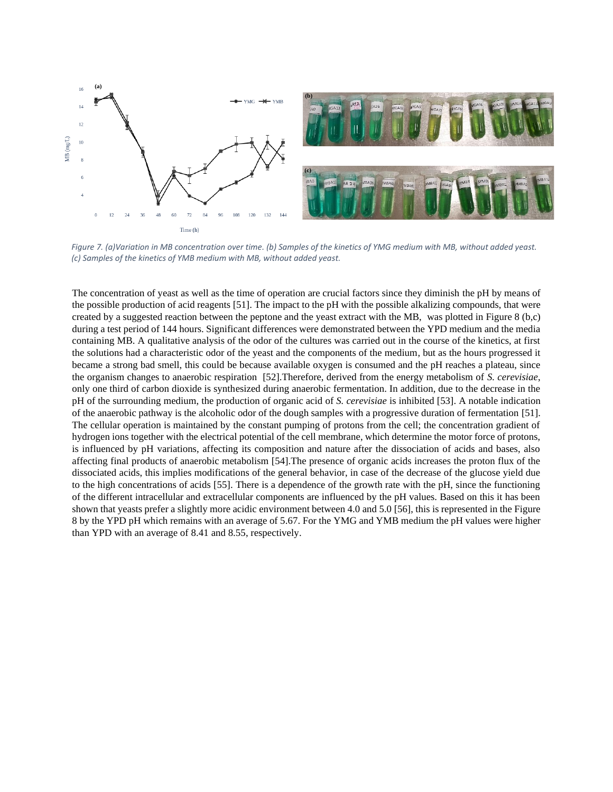

<span id="page-10-0"></span>*Figure 7. (a)Variation in MB concentration over time. (b) Samples of the kinetics of YMG medium with MB, without added yeast. (c) Samples of the kinetics of YMB medium with MB, without added yeast.*

The concentration of yeast as well as the time of operation are crucial factors since they diminish the pH by means of the possible production of acid reagents [51]. The impact to the pH with the possible alkalizing compounds, that were created by a suggested reaction between the peptone and the yeast extract with the MB, was plotted in [Figure 8](#page-11-0) (b,c) during a test period of 144 hours. Significant differences were demonstrated between the YPD medium and the media containing MB. A qualitative analysis of the odor of the cultures was carried out in the course of the kinetics, at first the solutions had a characteristic odor of the yeast and the components of the medium, but as the hours progressed it became a strong bad smell, this could be because available oxygen is consumed and the pH reaches a plateau, since the organism changes to anaerobic respiration [52].Therefore, derived from the energy metabolism of *S. cerevisiae*, only one third of carbon dioxide is synthesized during anaerobic fermentation. In addition, due to the decrease in the pH of the surrounding medium, the production of organic acid of *S. cerevisiae* is inhibited [53]. A notable indication of the anaerobic pathway is the alcoholic odor of the dough samples with a progressive duration of fermentation [51]. The cellular operation is maintained by the constant pumping of protons from the cell; the concentration gradient of hydrogen ions together with the electrical potential of the cell membrane, which determine the motor force of protons, is influenced by pH variations, affecting its composition and nature after the dissociation of acids and bases, also affecting final products of anaerobic metabolism [54].The presence of organic acids increases the proton flux of the dissociated acids, this implies modifications of the general behavior, in case of the decrease of the glucose yield due to the high concentrations of acids [55]. There is a dependence of the growth rate with the pH, since the functioning of the different intracellular and extracellular components are influenced by the pH values. Based on this it has been shown that yeasts prefer a slightly more acidic environment between 4.0 and 5.0 [56], this is represented in the [Figure](#page-11-0)  [8](#page-11-0) by the YPD pH which remains with an average of 5.67. For the YMG and YMB medium the pH values were higher than YPD with an average of 8.41 and 8.55, respectively.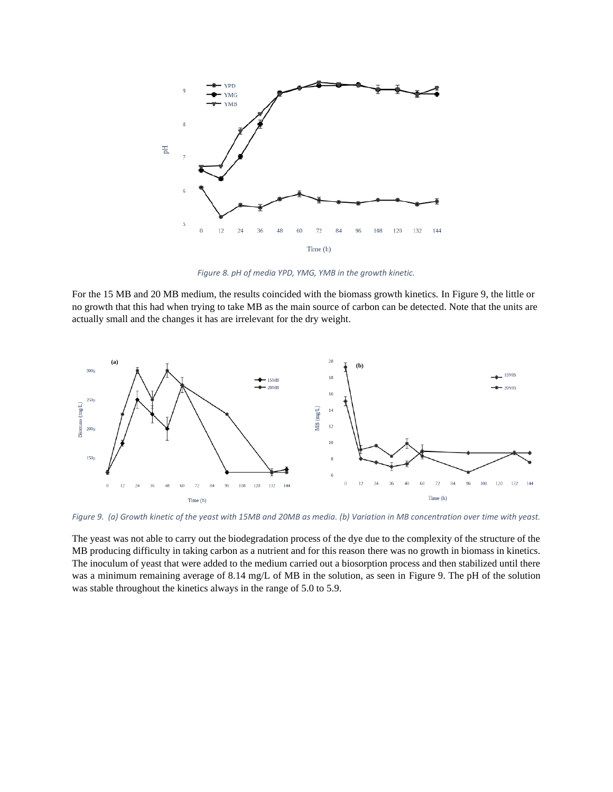

*Figure 8. pH of media YPD, YMG, YMB in the growth kinetic.*

<span id="page-11-0"></span>For the 15 MB and 20 MB medium, the results coincided with the biomass growth kinetics. I[n Figure 9,](#page-11-1) the little or no growth that this had when trying to take MB as the main source of carbon can be detected. Note that the units are actually small and the changes it has are irrelevant for the dry weight.



<span id="page-11-1"></span>*Figure 9. (a) Growth kinetic of the yeast with 15MB and 20MB as media. (b) Variation in MB concentration over time with yeast.*

The yeast was not able to carry out the biodegradation process of the dye due to the complexity of the structure of the MB producing difficulty in taking carbon as a nutrient and for this reason there was no growth in biomass in kinetics. The inoculum of yeast that were added to the medium carried out a biosorption process and then stabilized until there was a minimum remaining average of 8.14 mg/L of MB in the solution, as seen in [Figure 9.](#page-11-1) The pH of the solution was stable throughout the kinetics always in the range of 5.0 to 5.9.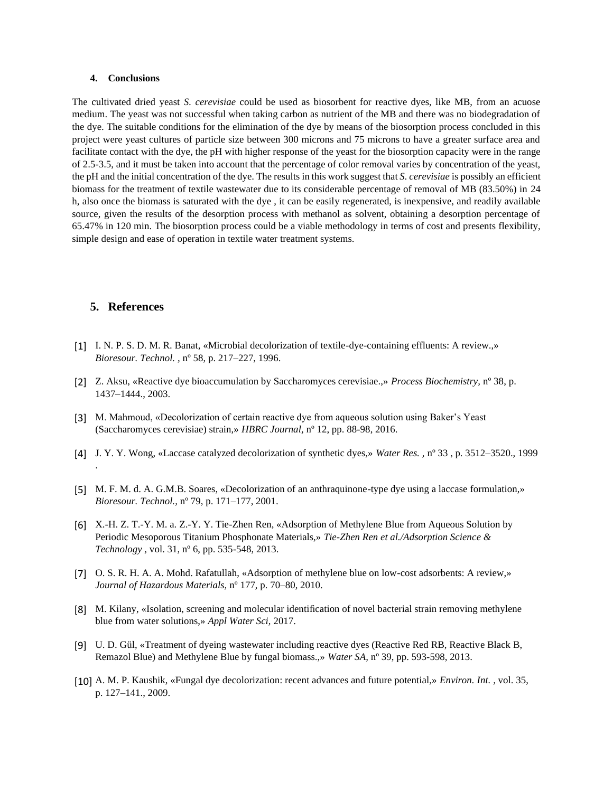#### **4. Conclusions**

The cultivated dried yeast *S. cerevisiae* could be used as biosorbent for reactive dyes, like MB, from an acuose medium. The yeast was not successful when taking carbon as nutrient of the MB and there was no biodegradation of the dye. The suitable conditions for the elimination of the dye by means of the biosorption process concluded in this project were yeast cultures of particle size between 300 microns and 75 microns to have a greater surface area and facilitate contact with the dye, the pH with higher response of the yeast for the biosorption capacity were in the range of 2.5-3.5, and it must be taken into account that the percentage of color removal varies by concentration of the yeast, the pH and the initial concentration of the dye. The results in this work suggest that *S. cerevisiae* is possibly an efficient biomass for the treatment of textile wastewater due to its considerable percentage of removal of MB (83.50%) in 24 h, also once the biomass is saturated with the dye , it can be easily regenerated, is inexpensive, and readily available source, given the results of the desorption process with methanol as solvent, obtaining a desorption percentage of 65.47% in 120 min. The biosorption process could be a viable methodology in terms of cost and presents flexibility, simple design and ease of operation in textile water treatment systems.

### **5. References**

- [1] I. N. P. S. D. M. R. Banat, «Microbial decolorization of textile-dye-containing effluents: A review.,» *Bioresour. Technol. ,* nº 58, p. 217–227, 1996.
- [2] Z. Aksu, «Reactive dye bioaccumulation by Saccharomyces cerevisiae.,» *Process Biochemistry,* nº 38, p. 1437–1444., 2003.
- [3] M. Mahmoud, «Decolorization of certain reactive dye from aqueous solution using Baker's Yeast (Saccharomyces cerevisiae) strain,» *HBRC Journal,* nº 12, pp. 88-98, 2016.
- [4] J. Y. Y. Wong, «Laccase catalyzed decolorization of synthetic dyes,» *Water Res. ,* nº 33 , p. 3512–3520., 1999 .
- [5] M. F. M. d. A. G.M.B. Soares, «Decolorization of an anthraquinone-type dye using a laccase formulation,» *Bioresour. Technol.,* nº 79, p. 171–177, 2001.
- [6] X.-H. Z. T.-Y. M. a. Z.-Y. Y. Tie-Zhen Ren, «Adsorption of Methylene Blue from Aqueous Solution by Periodic Mesoporous Titanium Phosphonate Materials,» *Tie-Zhen Ren et al./Adsorption Science & Technology ,* vol. 31, nº 6, pp. 535-548, 2013.
- [7] O. S. R. H. A. A. Mohd. Rafatullah, «Adsorption of methylene blue on low-cost adsorbents: A review,» *Journal of Hazardous Materials,* nº 177, p. 70–80, 2010.
- [8] M. Kilany, «Isolation, screening and molecular identification of novel bacterial strain removing methylene blue from water solutions,» *Appl Water Sci,* 2017.
- [9] U. D. Gül, «Treatment of dyeing wastewater including reactive dyes (Reactive Red RB, Reactive Black B, Remazol Blue) and Methylene Blue by fungal biomass.,» *Water SA,* nº 39, pp. 593-598, 2013.
- [10] A. M. P. Kaushik, «Fungal dye decolorization: recent advances and future potential,» *Environ. Int. ,* vol. 35, p. 127–141., 2009.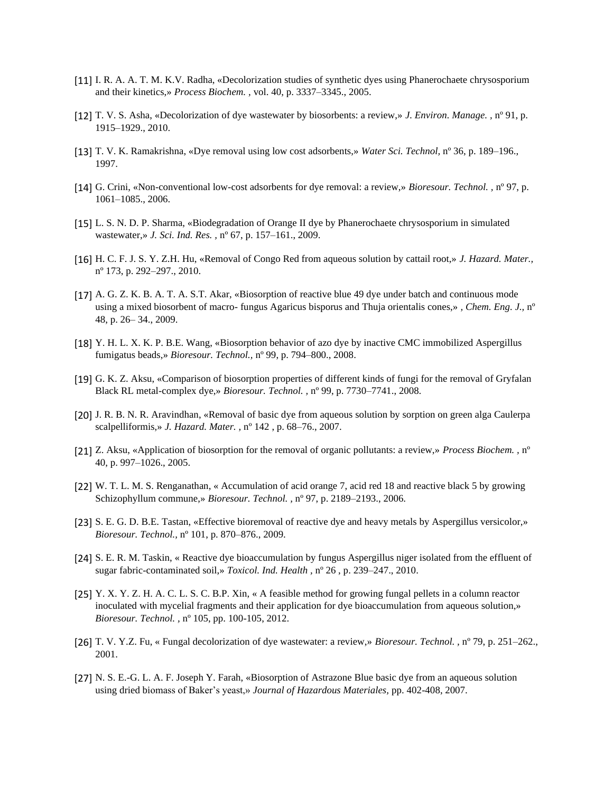- [11] I. R. A. A. T. M. K.V. Radha, «Decolorization studies of synthetic dyes using Phanerochaete chrysosporium and their kinetics,» *Process Biochem. ,* vol. 40, p. 3337–3345., 2005.
- [12] T. V. S. Asha, «Decolorization of dye wastewater by biosorbents: a review,» *J. Environ. Manage. ,* nº 91, p. 1915–1929., 2010.
- [13] T. V. K. Ramakrishna, «Dye removal using low cost adsorbents,» *Water Sci. Technol,* nº 36, p. 189–196., 1997.
- [14] G. Crini, «Non-conventional low-cost adsorbents for dye removal: a review,» *Bioresour. Technol. ,* nº 97, p. 1061–1085., 2006.
- [15] L. S. N. D. P. Sharma, «Biodegradation of Orange II dye by Phanerochaete chrysosporium in simulated wastewater,» *J. Sci. Ind. Res. ,* nº 67, p. 157–161., 2009.
- [16] H. C. F. J. S. Y. Z.H. Hu, «Removal of Congo Red from aqueous solution by cattail root,» *J. Hazard. Mater.,*  nº 173, p. 292–297., 2010.
- [17] A. G. Z. K. B. A. T. A. S.T. Akar, «Biosorption of reactive blue 49 dye under batch and continuous mode using a mixed biosorbent of macro- fungus Agaricus bisporus and Thuja orientalis cones,» *, Chem. Eng. J.,* nº 48, p. 26– 34., 2009.
- [18] Y. H. L. X. K. P. B.E. Wang, «Biosorption behavior of azo dye by inactive CMC immobilized Aspergillus fumigatus beads,» *Bioresour. Technol.,* nº 99, p. 794–800., 2008.
- [19] G. K. Z. Aksu, «Comparison of biosorption properties of different kinds of fungi for the removal of Gryfalan Black RL metal-complex dye,» *Bioresour. Technol. ,* nº 99, p. 7730–7741., 2008.
- [20] J. R. B. N. R. Aravindhan, «Removal of basic dye from aqueous solution by sorption on green alga Caulerpa scalpelliformis,» *J. Hazard. Mater. ,* nº 142 , p. 68–76., 2007.
- [21] Z. Aksu, «Application of biosorption for the removal of organic pollutants: a review,» *Process Biochem. ,* nº 40, p. 997–1026., 2005.
- [22] W. T. L. M. S. Renganathan, « Accumulation of acid orange 7, acid red 18 and reactive black 5 by growing Schizophyllum commune,» *Bioresour. Technol. ,* nº 97, p. 2189–2193., 2006.
- [23] S. E. G. D. B.E. Tastan, «Effective bioremoval of reactive dye and heavy metals by Aspergillus versicolor,» *Bioresour. Technol.,* nº 101, p. 870–876., 2009.
- [24] S. E. R. M. Taskin, « Reactive dye bioaccumulation by fungus Aspergillus niger isolated from the effluent of sugar fabric-contaminated soil,» *Toxicol. Ind. Health ,* nº 26 , p. 239–247., 2010.
- [25] Y. X. Y. Z. H. A. C. L. S. C. B.P. Xin, « A feasible method for growing fungal pellets in a column reactor inoculated with mycelial fragments and their application for dye bioaccumulation from aqueous solution,» *Bioresour. Technol. ,* nº 105, pp. 100-105, 2012.
- [26] T. V. Y.Z. Fu, « Fungal decolorization of dye wastewater: a review,» *Bioresour. Technol. ,* nº 79, p. 251–262., 2001.
- [27] N. S. E.-G. L. A. F. Joseph Y. Farah, «Biosorption of Astrazone Blue basic dye from an aqueous solution using dried biomass of Baker's yeast,» *Journal of Hazardous Materiales,* pp. 402-408, 2007.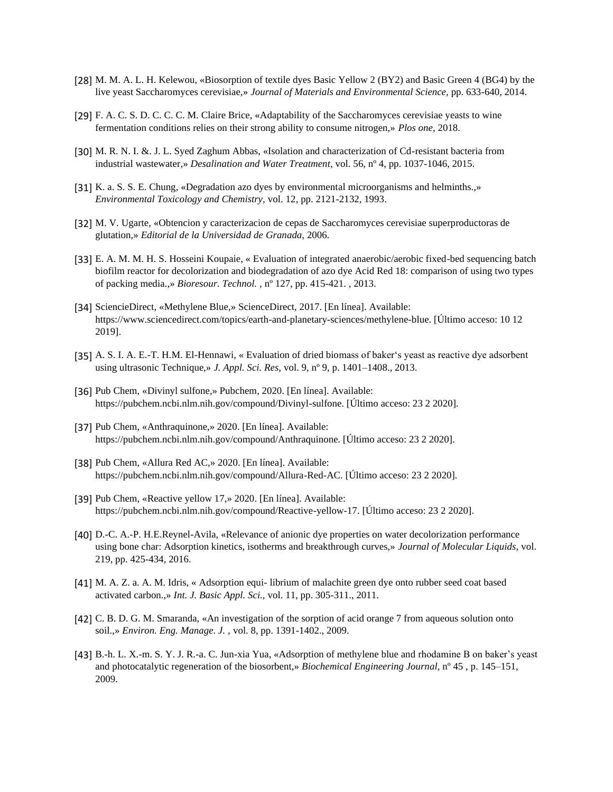- [28] M. M. A. L. H. Kelewou, «Biosorption of textile dyes Basic Yellow 2 (BY2) and Basic Green 4 (BG4) by the live yeast Saccharomyces cerevisiae,» *Journal of Materials and Environmental Science,* pp. 633-640, 2014.
- [29] F. A. C. S. D. C. C. C. M. Claire Brice, «Adaptability of the Saccharomyces cerevisiae yeasts to wine fermentation conditions relies on their strong ability to consume nitrogen,» *Plos one,* 2018.
- [30] M. R. N. I. &. J. L. Syed Zaghum Abbas, «Isolation and characterization of Cd-resistant bacteria from industrial wastewater,» *Desalination and Water Treatment,* vol. 56, nº 4, pp. 1037-1046, 2015.
- [31] K. a. S. S. E. Chung, «Degradation azo dyes by environmental microorganisms and helminths.,» *Environmental Toxicology and Chemistry,* vol. 12, pp. 2121-2132, 1993.
- [32] M. V. Ugarte, «Obtencion y caracterizacion de cepas de Saccharomyces cerevisiae superproductoras de glutation,» *Editorial de la Universidad de Granada,* 2006.
- [33] E. A. M. M. H. S. Hosseini Koupaie, « Evaluation of integrated anaerobic/aerobic fixed-bed sequencing batch biofilm reactor for decolorization and biodegradation of azo dye Acid Red 18: comparison of using two types of packing media.,» *Bioresour. Technol. ,* nº 127, pp. 415-421. , 2013.
- [34] SciencieDirect, «Methylene Blue,» ScienceDirect, 2017. [En línea]. Available: https://www.sciencedirect.com/topics/earth-and-planetary-sciences/methylene-blue. [Último acceso: 10 12 2019].
- [35] A. S. I. A. E.-T. H.M. El-Hennawi, « Evaluation of dried biomass of baker's yeast as reactive dye adsorbent using ultrasonic Technique,» *J. Appl. Sci. Res,* vol. 9, nº 9, p. 1401–1408., 2013.
- [36] Pub Chem, «Divinyl sulfone,» Pubchem, 2020. [En línea]. Available: https://pubchem.ncbi.nlm.nih.gov/compound/Divinyl-sulfone. [Último acceso: 23 2 2020].
- [37] Pub Chem, «Anthraquinone,» 2020. [En línea]. Available: https://pubchem.ncbi.nlm.nih.gov/compound/Anthraquinone. [Último acceso: 23 2 2020].
- [38] Pub Chem, «Allura Red AC,» 2020. [En línea]. Available: https://pubchem.ncbi.nlm.nih.gov/compound/Allura-Red-AC. [Último acceso: 23 2 2020].
- [39] Pub Chem, «Reactive yellow 17,» 2020. [En línea]. Available: https://pubchem.ncbi.nlm.nih.gov/compound/Reactive-yellow-17. [Último acceso: 23 2 2020].
- [40] D.-C. A.-P. H.E.Reynel-Avila, «Relevance of anionic dye properties on water decolorization performance using bone char: Adsorption kinetics, isotherms and breakthrough curves,» *Journal of Molecular Liquids,* vol. 219, pp. 425-434, 2016.
- [41] M. A. Z. a. A. M. Idris, « Adsorption equi- librium of malachite green dye onto rubber seed coat based activated carbon.,» *Int. J. Basic Appl. Sci.,* vol. 11, pp. 305-311., 2011.
- [42] C. B. D. G. M. Smaranda, «An investigation of the sorption of acid orange 7 from aqueous solution onto soil.,» *Environ. Eng. Manage. J. ,* vol. 8, pp. 1391-1402., 2009.
- [43] B.-h. L. X.-m. S. Y. J. R.-a. C. Jun-xia Yua, «Adsorption of methylene blue and rhodamine B on baker's yeast and photocatalytic regeneration of the biosorbent,» *Biochemical Engineering Journal,* nº 45 , p. 145–151, 2009.